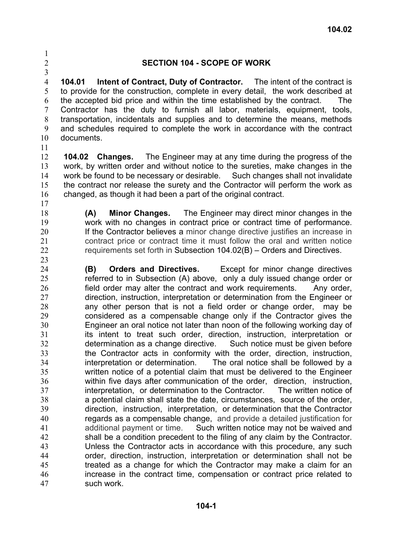## 1 2 3

## **SECTION 104 - SCOPE OF WORK**

4 5 6 7 8 9 10 **104.01 Intent of Contract, Duty of Contractor.** The intent of the contract is to provide for the construction, complete in every detail, the work described at the accepted bid price and within the time established by the contract. The Contractor has the duty to furnish all labor, materials, equipment, tools, transportation, incidentals and supplies and to determine the means, methods and schedules required to complete the work in accordance with the contract documents.

11

12 13 14 15 16 **104.02 Changes.** The Engineer may at any time during the progress of the work, by written order and without notice to the sureties, make changes in the work be found to be necessary or desirable. Such changes shall not invalidate the contract nor release the surety and the Contractor will perform the work as changed, as though it had been a part of the original contract.

17 18

**(A) Minor Changes.** The Engineer may direct minor changes in the work with no changes in contract price or contract time of performance. If the Contractor believes a minor change directive justifies an increase in contract price or contract time it must follow the oral and written notice requirements set forth in Subsection 104.02(B) – Orders and Directives.

24 25 26 27 28 29 30 31 32 33 34 35 36 37 38 39 40 41 42 43 44 45 46 47 **(B) Orders and Directives.** Except for minor change directives referred to in Subsection (A) above, only a duly issued change order or field order may alter the contract and work requirements. Any order, direction, instruction, interpretation or determination from the Engineer or any other person that is not a field order or change order, may be considered as a compensable change only if the Contractor gives the Engineer an oral notice not later than noon of the following working day of its intent to treat such order, direction, instruction, interpretation or determination as a change directive. Such notice must be given before the Contractor acts in conformity with the order, direction, instruction, interpretation or determination. The oral notice shall be followed by a written notice of a potential claim that must be delivered to the Engineer within five days after communication of the order, direction, instruction, interpretation, or determination to the Contractor. The written notice of a potential claim shall state the date, circumstances, source of the order, direction, instruction, interpretation, or determination that the Contractor regards as a compensable change, and provide a detailed justification for additional payment or time. Such written notice may not be waived and shall be a condition precedent to the filing of any claim by the Contractor. Unless the Contractor acts in accordance with this procedure, any such order, direction, instruction, interpretation or determination shall not be treated as a change for which the Contractor may make a claim for an increase in the contract time, compensation or contract price related to such work.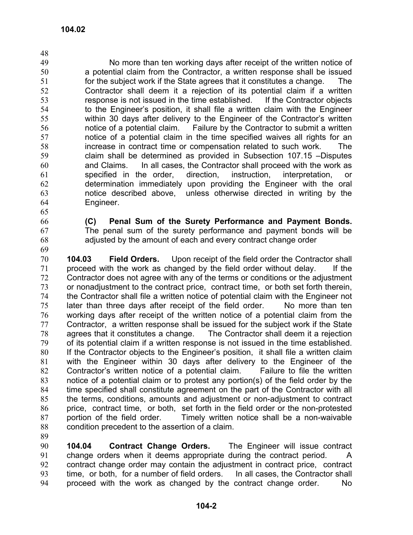49 50 51 52 53 54 55 56 57 58 59 60 61 62 63 64 No more than ten working days after receipt of the written notice of a potential claim from the Contractor, a written response shall be issued for the subject work if the State agrees that it constitutes a change. The Contractor shall deem it a rejection of its potential claim if a written response is not issued in the time established. If the Contractor objects to the Engineer's position, it shall file a written claim with the Engineer within 30 days after delivery to the Engineer of the Contractor's written notice of a potential claim. Failure by the Contractor to submit a written notice of a potential claim in the time specified waives all rights for an increase in contract time or compensation related to such work. The claim shall be determined as provided in Subsection 107.15 –Disputes and Claims. In all cases, the Contractor shall proceed with the work as specified in the order, direction, instruction, interpretation, or determination immediately upon providing the Engineer with the oral notice described above, unless otherwise directed in writing by the Engineer.

65

48

66 67 **(C) Penal Sum of the Surety Performance and Payment Bonds.**  The penal sum of the surety performance and payment bonds will be adjusted by the amount of each and every contract change order

68 69

70 71 72 73 74 75 76 77 78 79 80 81 82 83 84 85 86 87 88 **104.03 Field Orders.** Upon receipt of the field order the Contractor shall proceed with the work as changed by the field order without delay. If the Contractor does not agree with any of the terms or conditions or the adjustment or nonadjustment to the contract price, contract time, or both set forth therein, the Contractor shall file a written notice of potential claim with the Engineer not later than three days after receipt of the field order. No more than ten working days after receipt of the written notice of a potential claim from the Contractor, a written response shall be issued for the subject work if the State agrees that it constitutes a change. The Contractor shall deem it a rejection of its potential claim if a written response is not issued in the time established. If the Contractor objects to the Engineer's position, it shall file a written claim with the Engineer within 30 days after delivery to the Engineer of the Contractor's written notice of a potential claim. Failure to file the written notice of a potential claim or to protest any portion(s) of the field order by the time specified shall constitute agreement on the part of the Contractor with all the terms, conditions, amounts and adjustment or non-adjustment to contract price, contract time, or both, set forth in the field order or the non-protested portion of the field order. Timely written notice shall be a non-waivable condition precedent to the assertion of a claim.

89

90 91 92 93 94 **104.04 Contract Change Orders.** The Engineer will issue contract change orders when it deems appropriate during the contract period. A contract change order may contain the adjustment in contract price, contract time, or both, for a number of field orders. In all cases, the Contractor shall proceed with the work as changed by the contract change order. No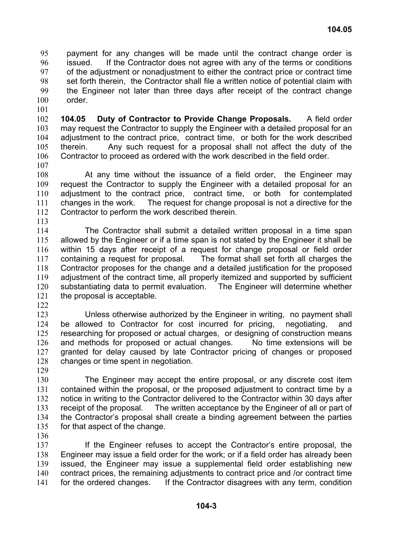payment for any changes will be made until the contract change order is issued. If the Contractor does not agree with any of the terms or conditions of the adjustment or nonadjustment to either the contract price or contract time set forth therein, the Contractor shall file a written notice of potential claim with the Engineer not later than three days after receipt of the contract change order. 95 96 97 98 99 100

102 103 104 105 106 107 **104.05 Duty of Contractor to Provide Change Proposals.** A field order may request the Contractor to supply the Engineer with a detailed proposal for an adjustment to the contract price, contract time, or both for the work described therein. Any such request for a proposal shall not affect the duty of the Contractor to proceed as ordered with the work described in the field order.

108 109 110 111 112 At any time without the issuance of a field order, the Engineer may request the Contractor to supply the Engineer with a detailed proposal for an adjustment to the contract price, contract time, or both for contemplated changes in the work. The request for change proposal is not a directive for the Contractor to perform the work described therein.

113

101

114 115 116 117 118 119 120 121 The Contractor shall submit a detailed written proposal in a time span allowed by the Engineer or if a time span is not stated by the Engineer it shall be within 15 days after receipt of a request for change proposal or field order containing a request for proposal. The format shall set forth all charges the Contractor proposes for the change and a detailed justification for the proposed adjustment of the contract time, all properly itemized and supported by sufficient substantiating data to permit evaluation. The Engineer will determine whether the proposal is acceptable.

122

123 124 125 126 127 128 Unless otherwise authorized by the Engineer in writing, no payment shall be allowed to Contractor for cost incurred for pricing, negotiating, and researching for proposed or actual charges, or designing of construction means and methods for proposed or actual changes. No time extensions will be granted for delay caused by late Contractor pricing of changes or proposed changes or time spent in negotiation.

129

130 131 132 133 134 135 The Engineer may accept the entire proposal, or any discrete cost item contained within the proposal, or the proposed adjustment to contract time by a notice in writing to the Contractor delivered to the Contractor within 30 days after receipt of the proposal. The written acceptance by the Engineer of all or part of the Contractor's proposal shall create a binding agreement between the parties for that aspect of the change.

136

137 138 139 140 141 If the Engineer refuses to accept the Contractor's entire proposal, the Engineer may issue a field order for the work; or if a field order has already been issued, the Engineer may issue a supplemental field order establishing new contract prices, the remaining adjustments to contract price and /or contract time for the ordered changes. If the Contractor disagrees with any term, condition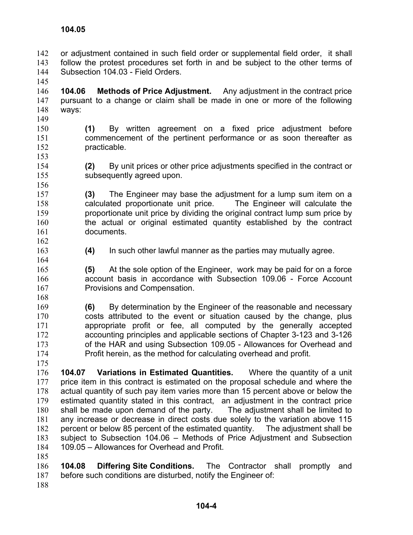145

149

153

156

164

168

or adjustment contained in such field order or supplemental field order, it shall follow the protest procedures set forth in and be subject to the other terms of Subsection 104.03 - Field Orders. 142 143 144

146 147 148 **104.06 Methods of Price Adjustment.** Any adjustment in the contract price pursuant to a change or claim shall be made in one or more of the following ways:

- 150 151 152 **(1)** By written agreement on a fixed price adjustment before commencement of the pertinent performance or as soon thereafter as practicable.
- 154 155 **(2)** By unit prices or other price adjustments specified in the contract or subsequently agreed upon.
- 157 158 159 160 161 **(3)** The Engineer may base the adjustment for a lump sum item on a calculated proportionate unit price. The Engineer will calculate the proportionate unit price by dividing the original contract lump sum price by the actual or original estimated quantity established by the contract documents.
- 162 163 **(4)** In such other lawful manner as the parties may mutually agree.
- 165 166 167 **(5)** At the sole option of the Engineer, work may be paid for on a force account basis in accordance with Subsection 109.06 - Force Account Provisions and Compensation.
- 169 170 171 172 173 174 **(6)** By determination by the Engineer of the reasonable and necessary costs attributed to the event or situation caused by the change, plus appropriate profit or fee, all computed by the generally accepted accounting principles and applicable sections of Chapter 3-123 and 3-126 of the HAR and using Subsection 109.05 - Allowances for Overhead and Profit herein, as the method for calculating overhead and profit.
- 175

176 177 178 179 180 181 182 183 184 **104.07 Variations in Estimated Quantities.** Where the quantity of a unit price item in this contract is estimated on the proposal schedule and where the actual quantity of such pay item varies more than 15 percent above or below the estimated quantity stated in this contract, an adjustment in the contract price shall be made upon demand of the party. The adjustment shall be limited to any increase or decrease in direct costs due solely to the variation above 115 percent or below 85 percent of the estimated quantity. The adjustment shall be subject to Subsection 104.06 – Methods of Price Adjustment and Subsection 109.05 – Allowances for Overhead and Profit.

185

186 187 **104.08 Differing Site Conditions.** The Contractor shall promptly and before such conditions are disturbed, notify the Engineer of:

188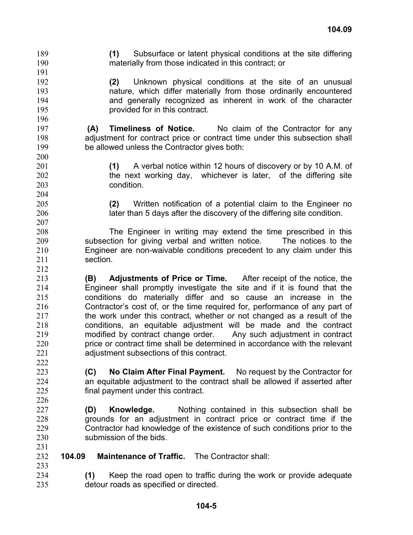materially from those indicated in this contract; or 190 191 192 193 194 195 196 197 198 199 200 201 202 203 204 205 206 207 208 209 210 211 212 213 214 215 216 217 218 219 220 221 222 223 224 225 226 227 228 229 230 231 232 233 234 **(2)** Unknown physical conditions at the site of an unusual nature, which differ materially from those ordinarily encountered and generally recognized as inherent in work of the character provided for in this contract. **(A) Timeliness of Notice.** No claim of the Contractor for any adjustment for contract price or contract time under this subsection shall be allowed unless the Contractor gives both: **(1)** A verbal notice within 12 hours of discovery or by 10 A.M. of the next working day, whichever is later, of the differing site condition. **(2)** Written notification of a potential claim to the Engineer no later than 5 days after the discovery of the differing site condition. The Engineer in writing may extend the time prescribed in this subsection for giving verbal and written notice. The notices to the Engineer are non-waivable conditions precedent to any claim under this section. **(B) Adjustments of Price or Time.** After receipt of the notice, the Engineer shall promptly investigate the site and if it is found that the conditions do materially differ and so cause an increase in the Contractor's cost of, or the time required for, performance of any part of the work under this contract, whether or not changed as a result of the conditions, an equitable adjustment will be made and the contract modified by contract change order. Any such adjustment in contract price or contract time shall be determined in accordance with the relevant adjustment subsections of this contract. **(C) No Claim After Final Payment.** No request by the Contractor for an equitable adjustment to the contract shall be allowed if asserted after final payment under this contract. **(D) Knowledge.** Nothing contained in this subsection shall be grounds for an adjustment in contract price or contract time if the Contractor had knowledge of the existence of such conditions prior to the submission of the bids. **104.09 Maintenance of Traffic.** The Contractor shall: **(1)** Keep the road open to traffic during the work or provide adequate

**(1)** Subsurface or latent physical conditions at the site differing

189

235

detour roads as specified or directed.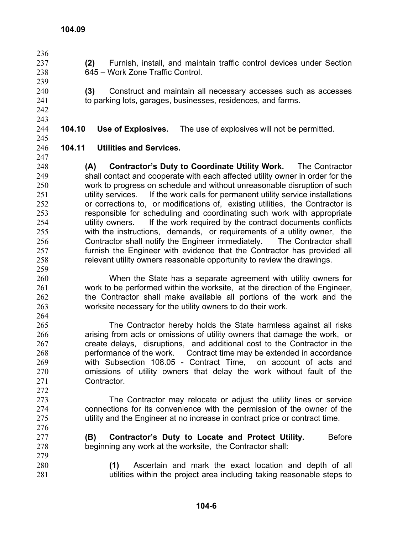- 236 237 238 239 240 241 242 243 244 245 246 247 248 249 250 251 252 253 254 255 256 257 258 259 260 261 **(2)** Furnish, install, and maintain traffic control devices under Section 645 – Work Zone Traffic Control. **(3)** Construct and maintain all necessary accesses such as accesses to parking lots, garages, businesses, residences, and farms. **104.10 Use of Explosives.** The use of explosives will not be permitted. **104.11 Utilities and Services. (A) Contractor's Duty to Coordinate Utility Work.** The Contractor shall contact and cooperate with each affected utility owner in order for the work to progress on schedule and without unreasonable disruption of such utility services. If the work calls for permanent utility service installations or corrections to, or modifications of, existing utilities, the Contractor is responsible for scheduling and coordinating such work with appropriate utility owners. If the work required by the contract documents conflicts with the instructions, demands, or requirements of a utility owner, the Contractor shall notify the Engineer immediately. The Contractor shall furnish the Engineer with evidence that the Contractor has provided all relevant utility owners reasonable opportunity to review the drawings. When the State has a separate agreement with utility owners for work to be performed within the worksite, at the direction of the Engineer,
- 262 263 264 265 the Contractor shall make available all portions of the work and the worksite necessary for the utility owners to do their work. The Contractor hereby holds the State harmless against all risks
- 266 267 268 269 270 271 272 arising from acts or omissions of utility owners that damage the work, or create delays, disruptions, and additional cost to the Contractor in the performance of the work. Contract time may be extended in accordance with Subsection 108.05 - Contract Time, on account of acts and omissions of utility owners that delay the work without fault of the Contractor.
	- The Contractor may relocate or adjust the utility lines or service connections for its convenience with the permission of the owner of the utility and the Engineer at no increase in contract price or contract time.
	- **(B)** Contractor's Duty to Locate and Protect Utility. Before beginning any work at the worksite, the Contractor shall:
- 280 281 **(1)** Ascertain and mark the exact location and depth of all utilities within the project area including taking reasonable steps to